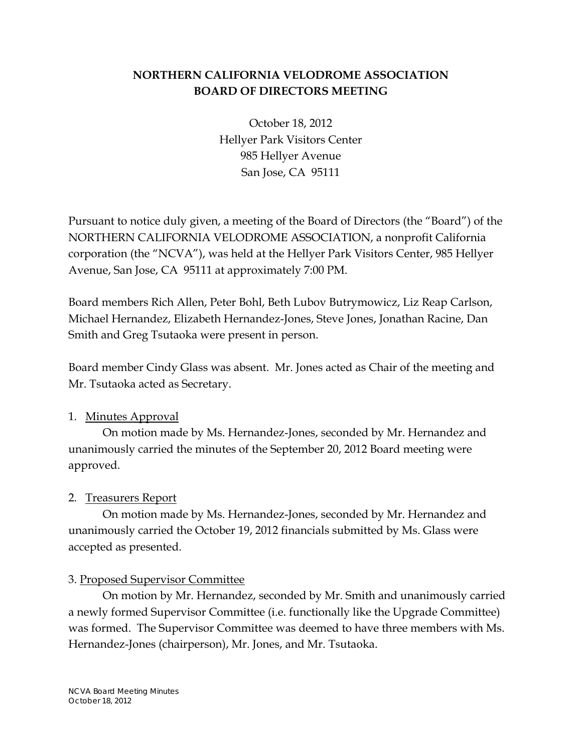# **NORTHERN CALIFORNIA VELODROME ASSOCIATION BOARD OF DIRECTORS MEETING**

October 18, 2012 Hellyer Park Visitors Center 985 Hellyer Avenue San Jose, CA 95111

Pursuant to notice duly given, a meeting of the Board of Directors (the "Board") of the NORTHERN CALIFORNIA VELODROME ASSOCIATION, a nonprofit California corporation (the "NCVA"), was held at the Hellyer Park Visitors Center, 985 Hellyer Avenue, San Jose, CA 95111 at approximately 7:00 PM.

Board members Rich Allen, Peter Bohl, Beth Lubov Butrymowicz, Liz Reap Carlson, Michael Hernandez, Elizabeth Hernandez-Jones, Steve Jones, Jonathan Racine, Dan Smith and Greg Tsutaoka were present in person.

Board member Cindy Glass was absent. Mr. Jones acted as Chair of the meeting and Mr. Tsutaoka acted as Secretary.

## 1. Minutes Approval

On motion made by Ms. Hernandez-Jones, seconded by Mr. Hernandez and unanimously carried the minutes of the September 20, 2012 Board meeting were approved.

## 2. Treasurers Report

On motion made by Ms. Hernandez-Jones, seconded by Mr. Hernandez and unanimously carried the October 19, 2012 financials submitted by Ms. Glass were accepted as presented.

## 3. Proposed Supervisor Committee

On motion by Mr. Hernandez, seconded by Mr. Smith and unanimously carried a newly formed Supervisor Committee (i.e. functionally like the Upgrade Committee) was formed. The Supervisor Committee was deemed to have three members with Ms. Hernandez-Jones (chairperson), Mr. Jones, and Mr. Tsutaoka.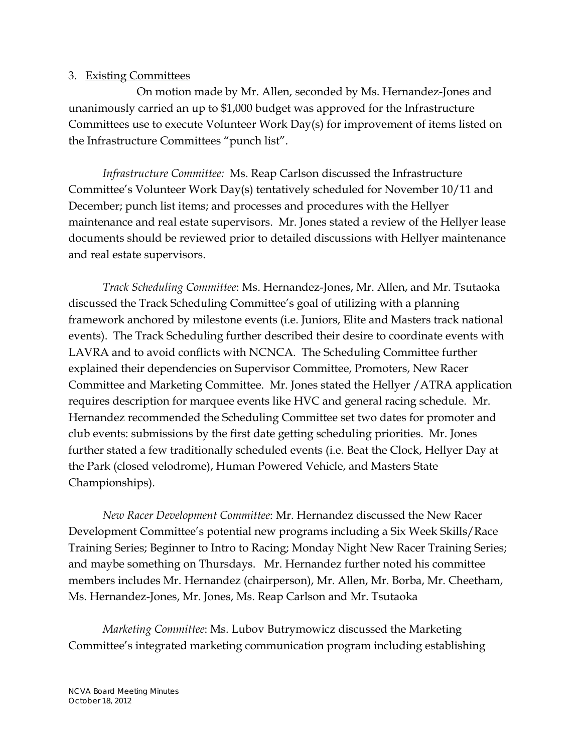#### 3. Existing Committees

 On motion made by Mr. Allen, seconded by Ms. Hernandez-Jones and unanimously carried an up to \$1,000 budget was approved for the Infrastructure Committees use to execute Volunteer Work Day(s) for improvement of items listed on the Infrastructure Committees "punch list".

*Infrastructure Committee:* Ms. Reap Carlson discussed the Infrastructure Committee's Volunteer Work Day(s) tentatively scheduled for November 10/11 and December; punch list items; and processes and procedures with the Hellyer maintenance and real estate supervisors. Mr. Jones stated a review of the Hellyer lease documents should be reviewed prior to detailed discussions with Hellyer maintenance and real estate supervisors.

*Track Scheduling Committee*: Ms. Hernandez-Jones, Mr. Allen, and Mr. Tsutaoka discussed the Track Scheduling Committee's goal of utilizing with a planning framework anchored by milestone events (i.e. Juniors, Elite and Masters track national events). The Track Scheduling further described their desire to coordinate events with LAVRA and to avoid conflicts with NCNCA. The Scheduling Committee further explained their dependencies on Supervisor Committee, Promoters, New Racer Committee and Marketing Committee. Mr. Jones stated the Hellyer /ATRA application requires description for marquee events like HVC and general racing schedule. Mr. Hernandez recommended the Scheduling Committee set two dates for promoter and club events: submissions by the first date getting scheduling priorities. Mr. Jones further stated a few traditionally scheduled events (i.e. Beat the Clock, Hellyer Day at the Park (closed velodrome), Human Powered Vehicle, and Masters State Championships).

*New Racer Development Committee*: Mr. Hernandez discussed the New Racer Development Committee's potential new programs including a Six Week Skills/Race Training Series; Beginner to Intro to Racing; Monday Night New Racer Training Series; and maybe something on Thursdays. Mr. Hernandez further noted his committee members includes Mr. Hernandez (chairperson), Mr. Allen, Mr. Borba, Mr. Cheetham, Ms. Hernandez-Jones, Mr. Jones, Ms. Reap Carlson and Mr. Tsutaoka

*Marketing Committee*: Ms. Lubov Butrymowicz discussed the Marketing Committee's integrated marketing communication program including establishing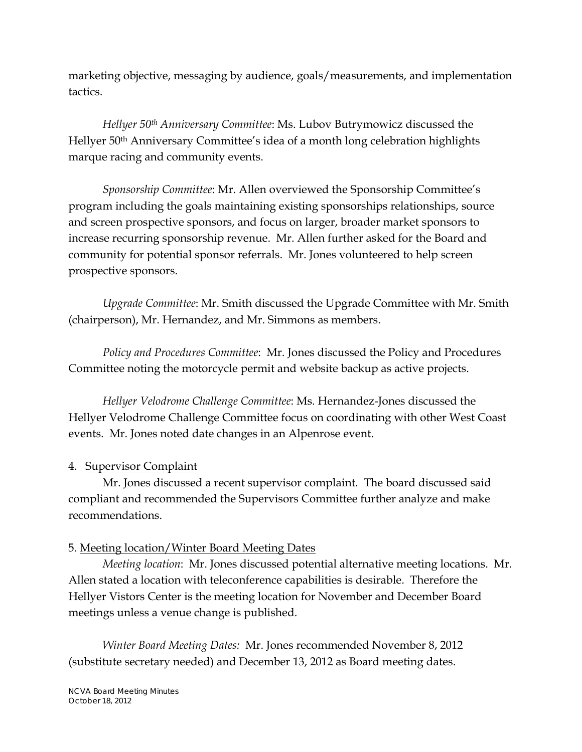marketing objective, messaging by audience, goals/measurements, and implementation tactics.

*Hellyer 50th Anniversary Committee*: Ms. Lubov Butrymowicz discussed the Hellyer 50th Anniversary Committee's idea of a month long celebration highlights marque racing and community events.

*Sponsorship Committee*: Mr. Allen overviewed the Sponsorship Committee's program including the goals maintaining existing sponsorships relationships, source and screen prospective sponsors, and focus on larger, broader market sponsors to increase recurring sponsorship revenue. Mr. Allen further asked for the Board and community for potential sponsor referrals. Mr. Jones volunteered to help screen prospective sponsors.

*Upgrade Committee*: Mr. Smith discussed the Upgrade Committee with Mr. Smith (chairperson), Mr. Hernandez, and Mr. Simmons as members.

*Policy and Procedures Committee*: Mr. Jones discussed the Policy and Procedures Committee noting the motorcycle permit and website backup as active projects.

*Hellyer Velodrome Challenge Committee*: Ms. Hernandez-Jones discussed the Hellyer Velodrome Challenge Committee focus on coordinating with other West Coast events. Mr. Jones noted date changes in an Alpenrose event.

## 4. Supervisor Complaint

Mr. Jones discussed a recent supervisor complaint. The board discussed said compliant and recommended the Supervisors Committee further analyze and make recommendations.

## 5. Meeting location/Winter Board Meeting Dates

*Meeting location*: Mr. Jones discussed potential alternative meeting locations. Mr. Allen stated a location with teleconference capabilities is desirable. Therefore the Hellyer Vistors Center is the meeting location for November and December Board meetings unless a venue change is published.

*Winter Board Meeting Dates:* Mr. Jones recommended November 8, 2012 (substitute secretary needed) and December 13, 2012 as Board meeting dates.